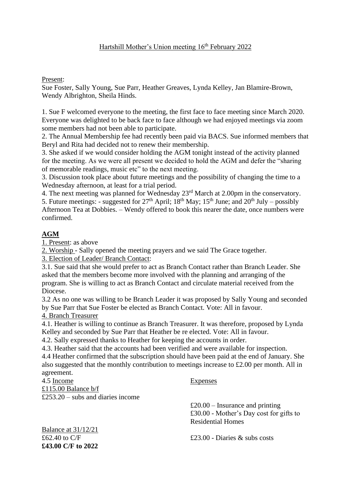#### Present:

Sue Foster, Sally Young, Sue Parr, Heather Greaves, Lynda Kelley, Jan Blamire-Brown, Wendy Albrighton, Sheila Hinds.

1. Sue F welcomed everyone to the meeting, the first face to face meeting since March 2020. Everyone was delighted to be back face to face although we had enjoyed meetings via zoom some members had not been able to participate.

2. The Annual Membership fee had recently been paid via BACS. Sue informed members that Beryl and Rita had decided not to renew their membership.

3. She asked if we would consider holding the AGM tonight instead of the activity planned for the meeting. As we were all present we decided to hold the AGM and defer the "sharing of memorable readings, music etc" to the next meeting.

3. Discussion took place about future meetings and the possibility of changing the time to a Wednesday afternoon, at least for a trial period.

4. The next meeting was planned for Wednesday 23rd March at 2.00pm in the conservatory.

5. Future meetings: - suggested for  $27<sup>th</sup>$  April;  $18<sup>th</sup>$  May;  $15<sup>th</sup>$  June; and  $20<sup>th</sup>$  July – possibly Afternoon Tea at Dobbies. – Wendy offered to book this nearer the date, once numbers were confirmed.

# **AGM**

1. Present: as above

2. Worship - Sally opened the meeting prayers and we said The Grace together.

3. Election of Leader/ Branch Contact:

3.1. Sue said that she would prefer to act as Branch Contact rather than Branch Leader. She asked that the members become more involved with the planning and arranging of the program. She is willing to act as Branch Contact and circulate material received from the Diocese.

3.2 As no one was willing to be Branch Leader it was proposed by Sally Young and seconded by Sue Parr that Sue Foster be elected as Branch Contact. Vote: All in favour. 4. Branch Treasurer

4.1. Heather is willing to continue as Branch Treasurer. It was therefore, proposed by Lynda Kelley and seconded by Sue Parr that Heather be re elected. Vote: All in favour.

4.2. Sally expressed thanks to Heather for keeping the accounts in order.

4.3. Heather said that the accounts had been verified and were available for inspection.

4.4 Heather confirmed that the subscription should have been paid at the end of January. She also suggested that the monthly contribution to meetings increase to £2.00 per month. All in agreement.

4.5 Income Expenses £115.00 Balance b/f £253.20 – subs and diaries income

Balance at 31/12/21 **£43.00 C/F to 2022**

 $£20.00$  – Insurance and printing £30.00 - Mother's Day cost for gifts to Residential Homes

 $\text{\textsterling}62.40$  to C/F  $\text{\textsterling}23.00$  - Diaries & subs costs